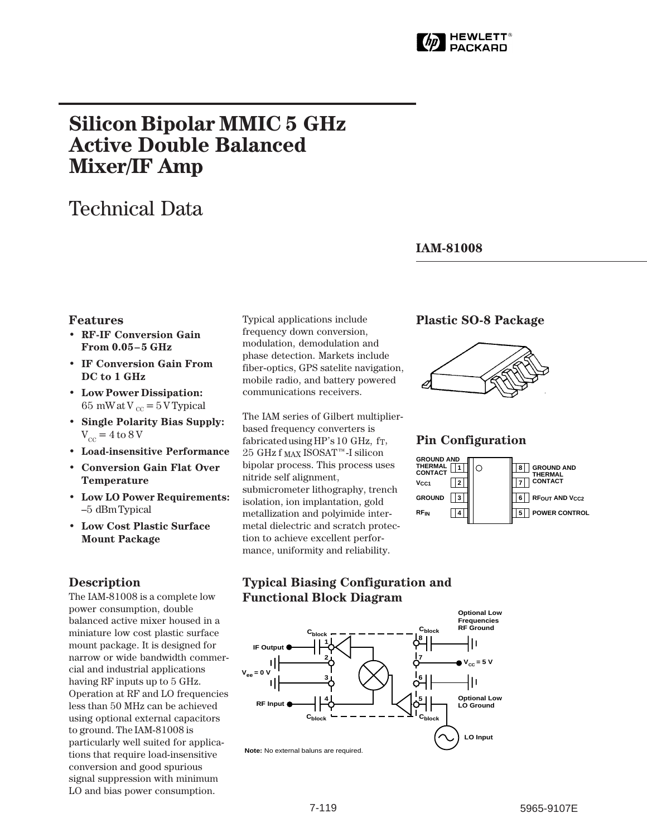

# **Silicon Bipolar MMIC 5␣ GHz Active Double Balanced Mixer/IF␣ Amp**

# Technical Data

#### **IAM-81008**

#### **Features**

- **RF-IF Conversion Gain From 0.05–5 GHz**
- **IF Conversion Gain From DC to 1 GHz**
- **Low Power Dissipation:** 65 mW at V  $_{\text{cc}}$  = 5 V Typical
- **Single Polarity Bias Supply:**  $V_{\rm cc}$  = 4 to 8 V
- **• Load-insensitive Performance**
- **Conversion Gain Flat Over Temperature**
- **• Low LO Power Requirements:** –5␣ dBm Typical
- **Low Cost Plastic Surface Mount Package**

#### **Description**

The IAM-81008 is a complete low power consumption, double balanced active mixer housed in a miniature low cost plastic surface mount package. It is designed for narrow or wide bandwidth commercial and industrial applications having RF inputs up to 5 GHz. Operation at RF and LO frequencies less than 50 MHz can be achieved using optional external capacitors to ground. The IAM-81008 is particularly well suited for applications that require load-insensitive conversion and good spurious signal suppression with minimum LO and bias power consumption.

Typical applications include frequency down conversion, modulation, demodulation and phase detection. Markets include fiber-optics, GPS satelite navigation, mobile radio, and battery powered communications receivers.

The IAM series of Gilbert multiplierbased frequency converters is fabricated using HP's 10 GHz, f<sub>T</sub>,  $25~{\rm GHz}$ f  $_{\rm MAX}$  ISOSAT™-I silicon bipolar process. This process uses nitride self alignment, submicrometer lithography, trench isolation, ion implantation, gold metallization and polyimide intermetal dielectric and scratch protection to achieve excellent performance, uniformity and reliability.

#### **Plastic SO-8 Package**



#### **Pin Configuration**

|                                         | <b>GROUND AND</b><br>THERMAI |
|-----------------------------------------|------------------------------|
|                                         | <b>CONTACT</b>               |
|                                         | <b>RFOUT AND VCC2</b>        |
|                                         | <b>POWER CONTROL</b>         |
| <b>GROUND AND</b><br>THERMAL<br>CONTACT |                              |

### **Typical Biasing Configuration and Functional Block Diagram**



**Note:** No external baluns are required.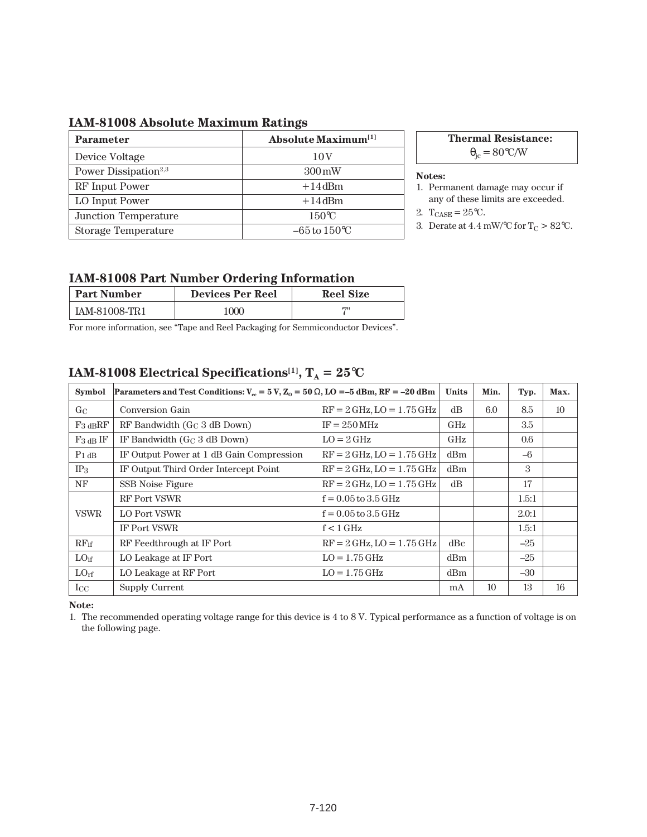## **IAM-81008 Absolute Maximum Ratings**

| <b>Parameter</b>                 | <b>Absolute Maximum</b> <sup>[1]</sup> |  |  |
|----------------------------------|----------------------------------------|--|--|
| Device Voltage                   | 10 <sub>V</sub>                        |  |  |
| Power Dissipation <sup>2,3</sup> | $300 \,\mathrm{mW}$                    |  |  |
| RF Input Power                   | $+14$ dBm                              |  |  |
| LO Input Power                   | $+14$ dBm                              |  |  |
| Junction Temperature             | $150^{\circ}$ C                        |  |  |
| Storage Temperature              | $-65$ to $150^{\circ}$ C               |  |  |

**Thermal Resistance:**

 $\theta_{\rm jc} = 80^{\circ}$ C/W

**Notes:**

- 1. Permanent damage may occur if any of these limits are exceeded.
- 2.  $T_{CASE} = 25^{\circ}C$ .
- 3. Derate at 4.4 mW/°C for  $T_C > 82$ °C.

#### **IAM-81008 Part Number Ordering Information**

| <b>Part Number</b> | <b>Devices Per Reel</b> | <b>Reel Size</b> |
|--------------------|-------------------------|------------------|
| IAM-81008-TR1      | 000                     | <b>1711</b>      |

For more information, see "Tape and Reel Packaging for Semmiconductor Devices".

# **IAM-81008 Electrical Specifications<sup>[1]</sup>,**  $T_A = 25^{\circ}C$

| <b>Symbol</b>    | Parameters and Test Conditions: $V_{\text{cc}} = 5 V$ , $Z_0 = 50 \Omega$ , LO = -5 dBm, RF = -20 dBm |                               |     | Min. | Typ.    | Max. |
|------------------|-------------------------------------------------------------------------------------------------------|-------------------------------|-----|------|---------|------|
| GC               | Conversion Gain                                                                                       | $RF = 2$ GHz, $LO = 1.75$ GHz | dB  | 6.0  | 8.5     | 10   |
| $F_3$ dBRF       | RF Bandwidth $(G_C 3 dB$ Down)                                                                        | $IF = 250 MHz$                | GHz |      | 3.5     |      |
| $F_3$ dB IF      | IF Bandwidth $(G_C 3 dB$ Down)                                                                        | $LO = 2 \text{ GHz}$          | GHz |      | $0.6\,$ |      |
| $P_1$ dB         | IF Output Power at 1 dB Gain Compression                                                              | $RF = 2$ GHz, $LO = 1.75$ GHz | dBm |      | $-6$    |      |
| $IP_3$           | IF Output Third Order Intercept Point                                                                 | $RF = 2$ GHz, $LO = 1.75$ GHz | dBm |      | 3       |      |
| NF               | SSB Noise Figure                                                                                      | $RF = 2$ GHz, $LO = 1.75$ GHz | dB  |      | 17      |      |
| <b>VSWR</b>      | <b>RF Port VSWR</b>                                                                                   | $f = 0.05$ to $3.5$ GHz       |     |      | 1.5:1   |      |
|                  | LO Port VSWR                                                                                          | $f = 0.05$ to $3.5$ GHz       |     |      | 2.0:1   |      |
|                  | IF Port VSWR                                                                                          | $f < 1$ GHz                   |     |      | 1.5:1   |      |
| $RF_{if}$        | RF Feedthrough at IF Port                                                                             | $RF = 2$ GHz, $LO = 1.75$ GHz | dBc |      | $-25$   |      |
| LO <sub>if</sub> | LO Leakage at IF Port                                                                                 | $LO = 1.75$ GHz               | dBm |      | $-25$   |      |
| LO <sub>rf</sub> | LO Leakage at RF Port                                                                                 | $LO = 1.75$ GHz               | dBm |      | $-30$   |      |
| $_{\rm{ICC}}$    | Supply Current                                                                                        |                               | mA  | 10   | 13      | 16   |

**Note:**

1. The recommended operating voltage range for this device is 4 to 8 V. Typical performance as a function of voltage is on the following page.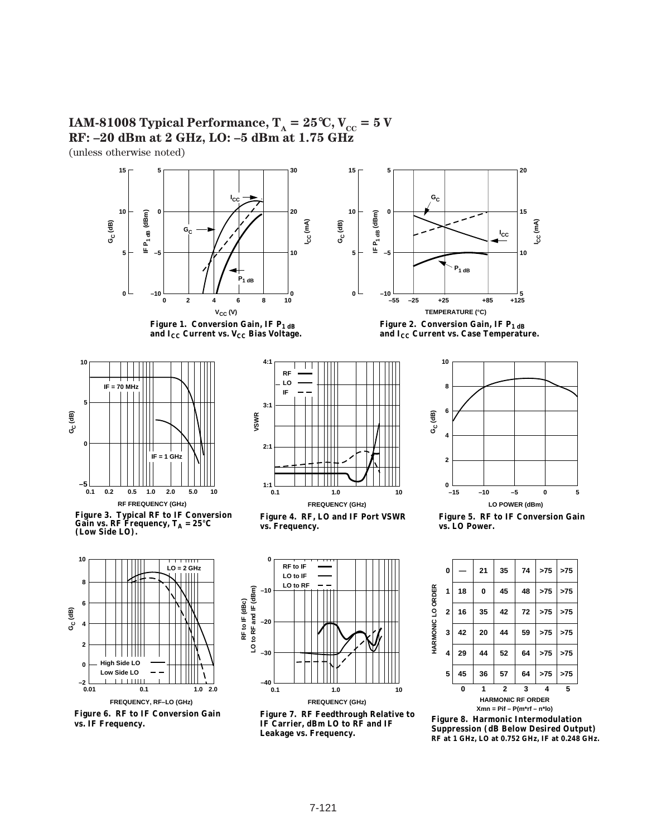







**Figure 3. Typical RF to IF Conversion**  Gain vs.  $\mathbb{RF}$  Frequency,  $T_A = 25^{\circ}\mathbb{C}$ **(Low Side LO).**







**Figure 4. RF, LO and IF Port VSWR vs. Frequency.**



**Figure 7. RF Feedthrough Relative to IF Carrier, dBm LO to RF and IF Leakage vs. Frequency.**



Figure 2. Conversion Gain, IF P<sub>1 dB</sub> and I<sub>CC</sub> Current vs. Case Temperature.



**Figure 5. RF to IF Conversion Gain vs. LO Power.**



**Figure 8. Harmonic Intermodulation Suppression (dB Below Desired Output) RF at 1 GHz, LO at 0.752 GHz, IF at 0.248 GHz.**